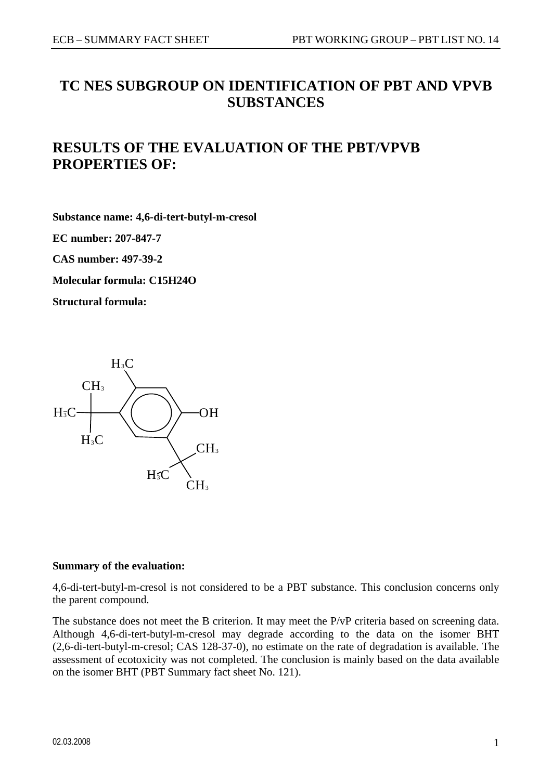# **TC NES SUBGROUP ON IDENTIFICATION OF PBT AND VPVB SUBSTANCES**

# **RESULTS OF THE EVALUATION OF THE PBT/VPVB PROPERTIES OF:**

**Substance name: 4,6-di-tert-butyl-m-cresol** 

**EC number: 207-847-7** 

**CAS number: 497-39-2** 

**Molecular formula: C15H24O** 

**Structural formula:** 



#### **Summary of the evaluation:**

4,6-di-tert-butyl-m-cresol is not considered to be a PBT substance. This conclusion concerns only the parent compound.

The substance does not meet the B criterion. It may meet the P/vP criteria based on screening data. Although 4,6-di-tert-butyl-m-cresol may degrade according to the data on the isomer BHT (2,6-di-tert-butyl-m-cresol; CAS 128-37-0), no estimate on the rate of degradation is available. The assessment of ecotoxicity was not completed. The conclusion is mainly based on the data available on the isomer BHT (PBT Summary fact sheet No. 121).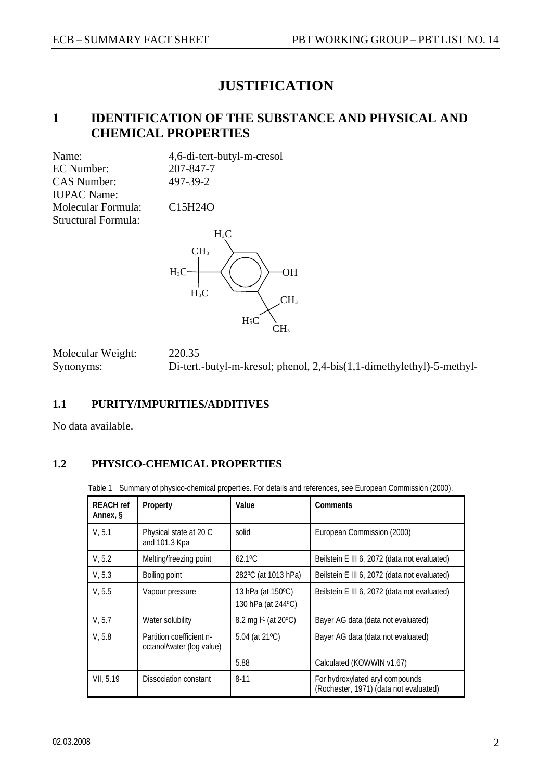# **JUSTIFICATION**

### **1 IDENTIFICATION OF THE SUBSTANCE AND PHYSICAL AND CHEMICAL PROPERTIES**

Name: 4,6-di-tert-butyl-m-cresol EC Number: 207-847-7 CAS Number: 497-39-2 IUPAC Name: Molecular Formula: C15H24O Structural Formula:



Molecular Weight: 220.35 Synonyms: Di-tert.-butyl-m-kresol; phenol, 2,4-bis(1,1-dimethylethyl)-5-methyl-

### **1.1 PURITY/IMPURITIES/ADDITIVES**

No data available.

### **1.2 PHYSICO-CHEMICAL PROPERTIES**

Table 1 Summary of physico-chemical properties. For details and references, see European Commission (2000).

| <b>REACH</b> ref<br>Annex, § | Property                                              | Value                                   | Comments                                                                  |
|------------------------------|-------------------------------------------------------|-----------------------------------------|---------------------------------------------------------------------------|
| V, 5.1                       | Physical state at 20 C<br>and 101.3 Kpa               | solid                                   | European Commission (2000)                                                |
| V, 5.2                       | Melting/freezing point                                | $62.1^{\circ}$ C                        | Beilstein E III 6, 2072 (data not evaluated)                              |
| V, 5.3                       | Boiling point                                         | 282°C (at 1013 hPa)                     | Beilstein E III 6, 2072 (data not evaluated)                              |
| V, 5.5                       | Vapour pressure                                       | 13 hPa (at 150°C)<br>130 hPa (at 244°C) | Beilstein E III 6, 2072 (data not evaluated)                              |
| V. 5.7                       | Water solubility                                      | 8.2 mg l-1 (at 20°C)                    | Bayer AG data (data not evaluated)                                        |
| V, 5.8                       | Partition coefficient n-<br>octanol/water (log value) | 5.04 (at 21°C)                          | Bayer AG data (data not evaluated)                                        |
|                              |                                                       | 5.88                                    | Calculated (KOWWIN v1.67)                                                 |
| VII, 5.19                    | Dissociation constant                                 | $8 - 11$                                | For hydroxylated aryl compounds<br>(Rochester, 1971) (data not evaluated) |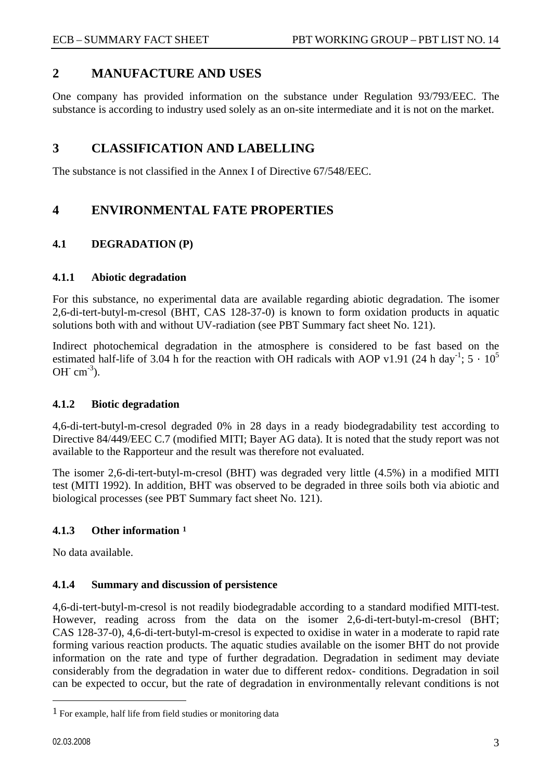### <span id="page-2-0"></span>**2 MANUFACTURE AND USES**

One company has provided information on the substance under Regulation 93/793/EEC. The substance is according to industry used solely as an on-site intermediate and it is not on the market.

### **3 CLASSIFICATION AND LABELLING**

The substance is not classified in the Annex I of Directive 67/548/EEC.

### **4 ENVIRONMENTAL FATE PROPERTIES**

### **4.1 DEGRADATION (P)**

### **4.1.1 Abiotic degradation**

For this substance, no experimental data are available regarding abiotic degradation. The isomer 2,6-di-tert-butyl-m-cresol (BHT, CAS 128-37-0) is known to form oxidation products in aquatic solutions both with and without UV-radiation (see PBT Summary fact sheet No. 121).

Indirect photochemical degradation in the atmosphere is considered to be fast based on the estimated half-life of 3.04 h for the reaction with OH radicals with AOP v1.91 (24 h day<sup>-1</sup>;  $5 \cdot 10^5$ OH $\,$  cm<sup>-3</sup>).

### **4.1.2 Biotic degradation**

4,6-di-tert-butyl-m-cresol degraded 0% in 28 days in a ready biodegradability test according to Directive 84/449/EEC C.7 (modified MITI; Bayer AG data). It is noted that the study report was not available to the Rapporteur and the result was therefore not evaluated.

The isomer 2,6-di-tert-butyl-m-cresol (BHT) was degraded very little (4.5%) in a modified MITI test (MITI 1992). In addition, BHT was observed to be degraded in three soils both via abiotic and biological processes (see PBT Summary fact sheet No. 121).

### **4.1.3 Other information [1](#page-2-0)**

No data available.

### **4.1.4 Summary and discussion of persistence**

4,6-di-tert-butyl-m-cresol is not readily biodegradable according to a standard modified MITI-test. However, reading across from the data on the isomer 2,6-di-tert-butyl-m-cresol (BHT; CAS 128-37-0), 4,6-di-tert-butyl-m-cresol is expected to oxidise in water in a moderate to rapid rate forming various reaction products. The aquatic studies available on the isomer BHT do not provide information on the rate and type of further degradation. Degradation in sediment may deviate considerably from the degradation in water due to different redox- conditions. Degradation in soil can be expected to occur, but the rate of degradation in environmentally relevant conditions is not

<sup>1</sup> For example, half life from field studies or monitoring data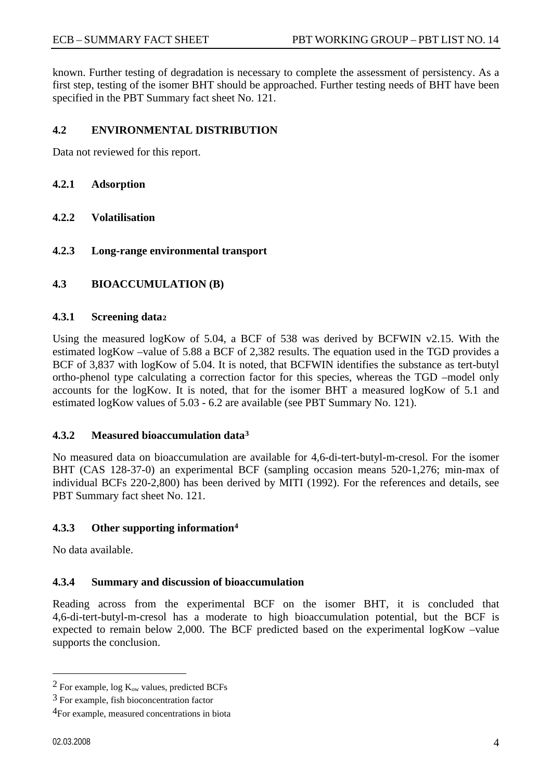<span id="page-3-0"></span>known. Further testing of degradation is necessary to complete the assessment of persistency. As a first step, testing of the isomer BHT should be approached. Further testing needs of BHT have been specified in the PBT Summary fact sheet No. 121.

### **4.2 ENVIRONMENTAL DISTRIBUTION**

Data not reviewed for this report.

- **4.2.1 Adsorption**
- **4.2.2 Volatilisation**
- **4.2.3 Long-range environmental transport**

### **4.3 BIOACCUMULATION (B)**

### **4.3.1 Screening data[2](#page-3-0)**

Using the measured logKow of 5.04, a BCF of 538 was derived by BCFWIN v2.15. With the estimated logKow –value of 5.88 a BCF of 2,382 results. The equation used in the TGD provides a BCF of 3,837 with logKow of 5.04. It is noted, that BCFWIN identifies the substance as tert-butyl ortho-phenol type calculating a correction factor for this species, whereas the TGD –model only accounts for the logKow. It is noted, that for the isomer BHT a measured logKow of 5.1 and estimated logKow values of 5.03 - 6.2 are available (see PBT Summary No. 121).

### **4.3.2 Measured bioaccumulation data[3](#page-3-0)**

No measured data on bioaccumulation are available for 4,6-di-tert-butyl-m-cresol. For the isomer BHT (CAS 128-37-0) an experimental BCF (sampling occasion means 520-1,276; min-max of individual BCFs 220-2,800) has been derived by MITI (1992). For the references and details, see PBT Summary fact sheet No. 121.

### **4.3.3 Other supporting information[4](#page-3-0)**

No data available.

### **4.3.4 Summary and discussion of bioaccumulation**

Reading across from the experimental BCF on the isomer BHT, it is concluded that 4,6-di-tert-butyl-m-cresol has a moderate to high bioaccumulation potential, but the BCF is expected to remain below 2,000. The BCF predicted based on the experimental logKow –value supports the conclusion.

 $\overline{a}$ 

<sup>&</sup>lt;sup>2</sup> For example, log  $K_{ow}$  values, predicted BCFs

<sup>3</sup> For example, fish bioconcentration factor

<sup>4</sup>For example, measured concentrations in biota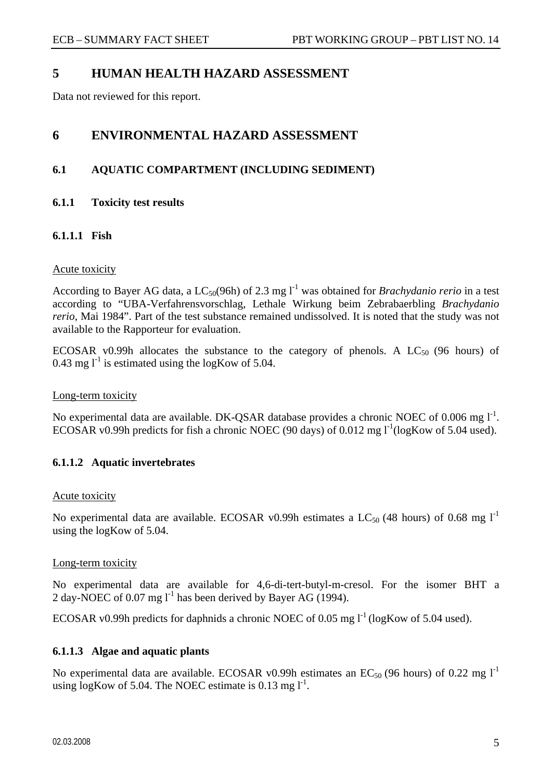### **5 HUMAN HEALTH HAZARD ASSESSMENT**

Data not reviewed for this report.

### **6 ENVIRONMENTAL HAZARD ASSESSMENT**

### **6.1 AQUATIC COMPARTMENT (INCLUDING SEDIMENT)**

**6.1.1 Toxicity test results** 

### **6.1.1.1 Fish**

### Acute toxicity

According to Bayer AG data, a  $LC_{50}(96h)$  of 2.3 mg  $1<sup>-1</sup>$  was obtained for *Brachydanio rerio* in a test according to "UBA-Verfahrensvorschlag, Lethale Wirkung beim Zebrabaerbling *Brachydanio rerio*, Mai 1984". Part of the test substance remained undissolved. It is noted that the study was not available to the Rapporteur for evaluation.

ECOSAR v0.99h allocates the substance to the category of phenols. A  $LC_{50}$  (96 hours) of 0.43 mg  $l^{-1}$  is estimated using the logKow of 5.04.

### Long-term toxicity

No experimental data are available. DK-QSAR database provides a chronic NOEC of 0.006 mg l<sup>-1</sup>. ECOSAR v0.99h predicts for fish a chronic NOEC (90 days) of 0.012 mg  $1^{-1}$ (logKow of 5.04 used).

### **6.1.1.2 Aquatic invertebrates**

### Acute toxicity

No experimental data are available. ECOSAR v0.99h estimates a LC<sub>50</sub> (48 hours) of 0.68 mg  $1^{-1}$ using the logKow of 5.04.

### Long-term toxicity

No experimental data are available for 4,6-di-tert-butyl-m-cresol. For the isomer BHT a 2 day-NOEC of 0.07 mg  $l^{-1}$  has been derived by Bayer AG (1994).

ECOSAR v0.99h predicts for daphnids a chronic NOEC of 0.05 mg  $1^1$  (logKow of 5.04 used).

### **6.1.1.3 Algae and aquatic plants**

No experimental data are available. ECOSAR v0.99h estimates an  $EC_{50}$  (96 hours) of 0.22 mg l<sup>-1</sup> using logKow of 5.04. The NOEC estimate is 0.13 mg  $1^{-1}$ .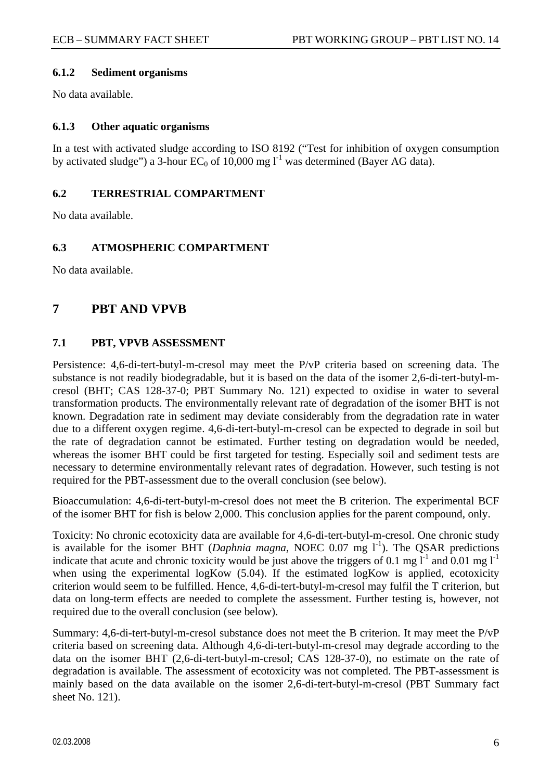### **6.1.2 Sediment organisms**

No data available.

### **6.1.3 Other aquatic organisms**

In a test with activated sludge according to ISO 8192 ("Test for inhibition of oxygen consumption by activated sludge") a 3-hour EC<sub>0</sub> of 10,000 mg  $l^{-1}$  was determined (Bayer AG data).

### **6.2 TERRESTRIAL COMPARTMENT**

No data available.

### **6.3 ATMOSPHERIC COMPARTMENT**

No data available.

### **7 PBT AND VPVB**

### **7.1 PBT, VPVB ASSESSMENT**

Persistence: 4,6-di-tert-butyl-m-cresol may meet the P/vP criteria based on screening data. The substance is not readily biodegradable, but it is based on the data of the isomer 2,6-di-tert-butyl-mcresol (BHT; CAS 128-37-0; PBT Summary No. 121) expected to oxidise in water to several transformation products. The environmentally relevant rate of degradation of the isomer BHT is not known. Degradation rate in sediment may deviate considerably from the degradation rate in water due to a different oxygen regime. 4,6-di-tert-butyl-m-cresol can be expected to degrade in soil but the rate of degradation cannot be estimated. Further testing on degradation would be needed, whereas the isomer BHT could be first targeted for testing. Especially soil and sediment tests are necessary to determine environmentally relevant rates of degradation. However, such testing is not required for the PBT-assessment due to the overall conclusion (see below).

Bioaccumulation: 4,6-di-tert-butyl-m-cresol does not meet the B criterion. The experimental BCF of the isomer BHT for fish is below 2,000. This conclusion applies for the parent compound, only.

Toxicity: No chronic ecotoxicity data are available for 4,6-di-tert-butyl-m-cresol. One chronic study is available for the isomer BHT (*Daphnia magna*, NOEC  $0.07$  mg  $1^{-1}$ ). The QSAR predictions indicate that acute and chronic toxicity would be just above the triggers of 0.1 mg  $l^{-1}$  and 0.01 mg  $l^{-1}$ when using the experimental logKow (5.04). If the estimated logKow is applied, ecotoxicity criterion would seem to be fulfilled. Hence, 4,6-di-tert-butyl-m-cresol may fulfil the T criterion, but data on long-term effects are needed to complete the assessment. Further testing is, however, not required due to the overall conclusion (see below).

Summary: 4,6-di-tert-butyl-m-cresol substance does not meet the B criterion. It may meet the P/vP criteria based on screening data. Although 4,6-di-tert-butyl-m-cresol may degrade according to the data on the isomer BHT (2,6-di-tert-butyl-m-cresol; CAS 128-37-0), no estimate on the rate of degradation is available. The assessment of ecotoxicity was not completed. The PBT-assessment is mainly based on the data available on the isomer 2,6-di-tert-butyl-m-cresol (PBT Summary fact sheet No. 121).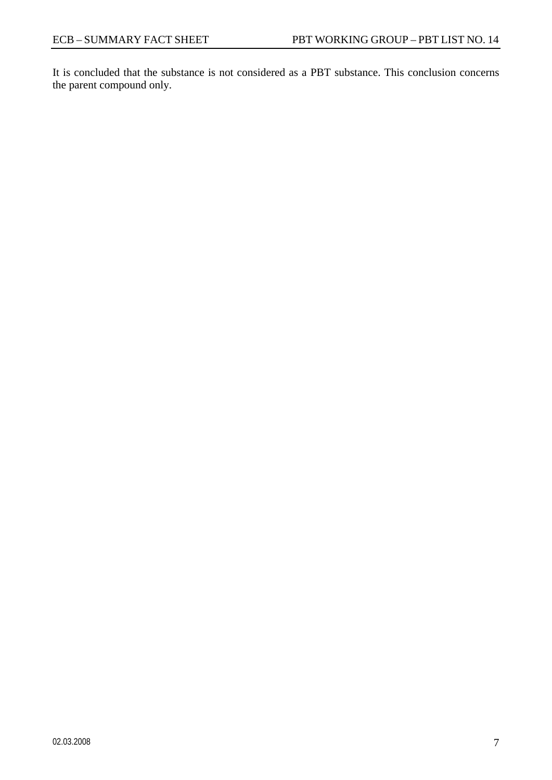It is concluded that the substance is not considered as a PBT substance. This conclusion concerns the parent compound only.